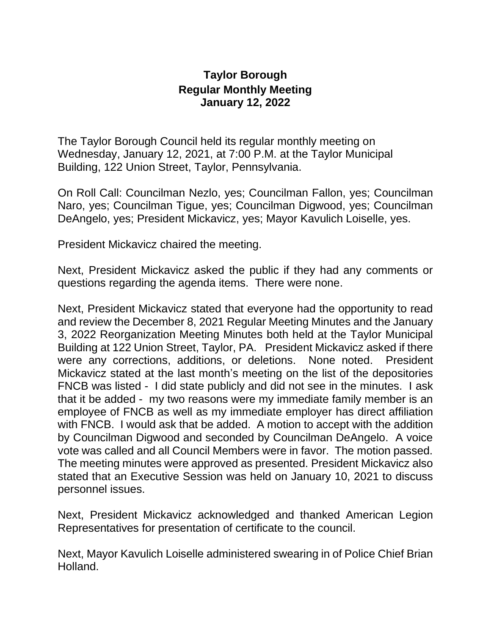## **Taylor Borough Regular Monthly Meeting January 12, 2022**

The Taylor Borough Council held its regular monthly meeting on Wednesday, January 12, 2021, at 7:00 P.M. at the Taylor Municipal Building, 122 Union Street, Taylor, Pennsylvania.

On Roll Call: Councilman Nezlo, yes; Councilman Fallon, yes; Councilman Naro, yes; Councilman Tigue, yes; Councilman Digwood, yes; Councilman DeAngelo, yes; President Mickavicz, yes; Mayor Kavulich Loiselle, yes.

President Mickavicz chaired the meeting.

Next, President Mickavicz asked the public if they had any comments or questions regarding the agenda items. There were none.

Next, President Mickavicz stated that everyone had the opportunity to read and review the December 8, 2021 Regular Meeting Minutes and the January 3, 2022 Reorganization Meeting Minutes both held at the Taylor Municipal Building at 122 Union Street, Taylor, PA. President Mickavicz asked if there were any corrections, additions, or deletions. None noted. President Mickavicz stated at the last month's meeting on the list of the depositories FNCB was listed - I did state publicly and did not see in the minutes. I ask that it be added - my two reasons were my immediate family member is an employee of FNCB as well as my immediate employer has direct affiliation with FNCB. I would ask that be added. A motion to accept with the addition by Councilman Digwood and seconded by Councilman DeAngelo. A voice vote was called and all Council Members were in favor. The motion passed. The meeting minutes were approved as presented. President Mickavicz also stated that an Executive Session was held on January 10, 2021 to discuss personnel issues.

Next, President Mickavicz acknowledged and thanked American Legion Representatives for presentation of certificate to the council.

Next, Mayor Kavulich Loiselle administered swearing in of Police Chief Brian Holland.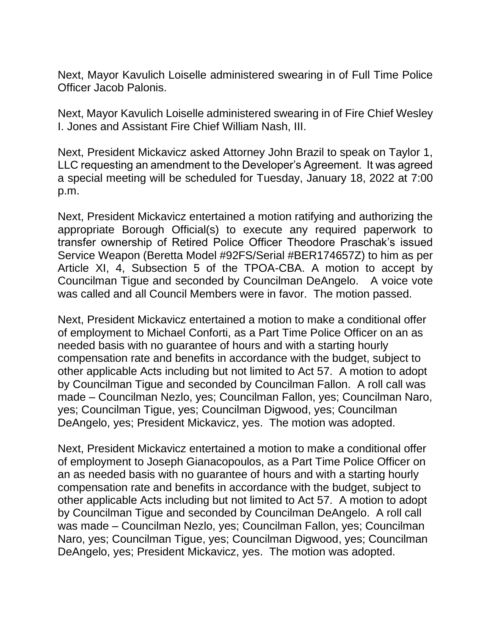Next, Mayor Kavulich Loiselle administered swearing in of Full Time Police Officer Jacob Palonis.

Next, Mayor Kavulich Loiselle administered swearing in of Fire Chief Wesley I. Jones and Assistant Fire Chief William Nash, III.

Next, President Mickavicz asked Attorney John Brazil to speak on Taylor 1, LLC requesting an amendment to the Developer's Agreement. It was agreed a special meeting will be scheduled for Tuesday, January 18, 2022 at 7:00 p.m.

Next, President Mickavicz entertained a motion ratifying and authorizing the appropriate Borough Official(s) to execute any required paperwork to transfer ownership of Retired Police Officer Theodore Praschak's issued Service Weapon (Beretta Model #92FS/Serial #BER174657Z) to him as per Article XI, 4, Subsection 5 of the TPOA-CBA. A motion to accept by Councilman Tigue and seconded by Councilman DeAngelo. A voice vote was called and all Council Members were in favor. The motion passed.

Next, President Mickavicz entertained a motion to make a conditional offer of employment to Michael Conforti, as a Part Time Police Officer on an as needed basis with no guarantee of hours and with a starting hourly compensation rate and benefits in accordance with the budget, subject to other applicable Acts including but not limited to Act 57. A motion to adopt by Councilman Tigue and seconded by Councilman Fallon. A roll call was made – Councilman Nezlo, yes; Councilman Fallon, yes; Councilman Naro, yes; Councilman Tigue, yes; Councilman Digwood, yes; Councilman DeAngelo, yes; President Mickavicz, yes. The motion was adopted.

Next, President Mickavicz entertained a motion to make a conditional offer of employment to Joseph Gianacopoulos, as a Part Time Police Officer on an as needed basis with no guarantee of hours and with a starting hourly compensation rate and benefits in accordance with the budget, subject to other applicable Acts including but not limited to Act 57. A motion to adopt by Councilman Tigue and seconded by Councilman DeAngelo. A roll call was made – Councilman Nezlo, yes; Councilman Fallon, yes; Councilman Naro, yes; Councilman Tigue, yes; Councilman Digwood, yes; Councilman DeAngelo, yes; President Mickavicz, yes. The motion was adopted.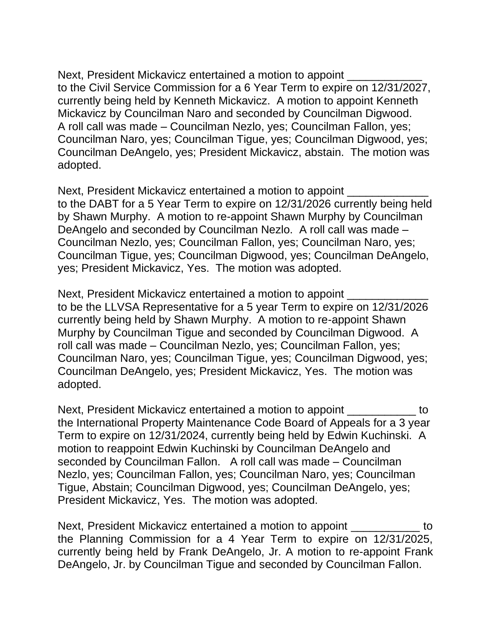Next, President Mickavicz entertained a motion to appoint to the Civil Service Commission for a 6 Year Term to expire on 12/31/2027, currently being held by Kenneth Mickavicz. A motion to appoint Kenneth Mickavicz by Councilman Naro and seconded by Councilman Digwood. A roll call was made – Councilman Nezlo, yes; Councilman Fallon, yes; Councilman Naro, yes; Councilman Tigue, yes; Councilman Digwood, yes; Councilman DeAngelo, yes; President Mickavicz, abstain. The motion was adopted.

Next, President Mickavicz entertained a motion to appoint \_\_\_\_\_\_\_\_\_\_\_\_\_\_\_\_\_\_\_\_\_\_ to the DABT for a 5 Year Term to expire on 12/31/2026 currently being held by Shawn Murphy. A motion to re-appoint Shawn Murphy by Councilman DeAngelo and seconded by Councilman Nezlo. A roll call was made – Councilman Nezlo, yes; Councilman Fallon, yes; Councilman Naro, yes; Councilman Tigue, yes; Councilman Digwood, yes; Councilman DeAngelo, yes; President Mickavicz, Yes. The motion was adopted.

Next, President Mickavicz entertained a motion to appoint \_\_\_\_\_\_\_\_\_\_\_\_\_\_\_\_\_\_\_\_\_\_ to be the LLVSA Representative for a 5 year Term to expire on 12/31/2026 currently being held by Shawn Murphy. A motion to re-appoint Shawn Murphy by Councilman Tigue and seconded by Councilman Digwood. A roll call was made – Councilman Nezlo, yes; Councilman Fallon, yes; Councilman Naro, yes; Councilman Tigue, yes; Councilman Digwood, yes; Councilman DeAngelo, yes; President Mickavicz, Yes. The motion was adopted.

Next, President Mickavicz entertained a motion to appoint to the International Property Maintenance Code Board of Appeals for a 3 year Term to expire on 12/31/2024, currently being held by Edwin Kuchinski. A motion to reappoint Edwin Kuchinski by Councilman DeAngelo and seconded by Councilman Fallon. A roll call was made – Councilman Nezlo, yes; Councilman Fallon, yes; Councilman Naro, yes; Councilman Tigue, Abstain; Councilman Digwood, yes; Councilman DeAngelo, yes; President Mickavicz, Yes. The motion was adopted.

Next, President Mickavicz entertained a motion to appoint to to the Planning Commission for a 4 Year Term to expire on 12/31/2025, currently being held by Frank DeAngelo, Jr. A motion to re-appoint Frank DeAngelo, Jr. by Councilman Tigue and seconded by Councilman Fallon.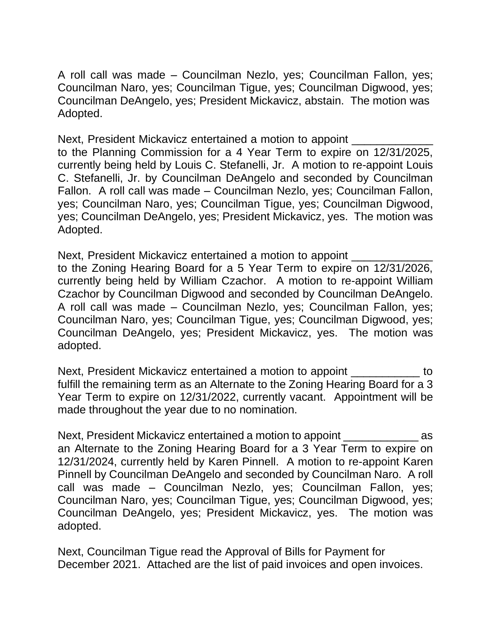A roll call was made – Councilman Nezlo, yes; Councilman Fallon, yes; Councilman Naro, yes; Councilman Tigue, yes; Councilman Digwood, yes; Councilman DeAngelo, yes; President Mickavicz, abstain. The motion was Adopted.

Next, President Mickavicz entertained a motion to appoint to the Planning Commission for a 4 Year Term to expire on 12/31/2025, currently being held by Louis C. Stefanelli, Jr. A motion to re-appoint Louis C. Stefanelli, Jr. by Councilman DeAngelo and seconded by Councilman Fallon. A roll call was made – Councilman Nezlo, yes; Councilman Fallon, yes; Councilman Naro, yes; Councilman Tigue, yes; Councilman Digwood, yes; Councilman DeAngelo, yes; President Mickavicz, yes. The motion was Adopted.

Next, President Mickavicz entertained a motion to appoint to the Zoning Hearing Board for a 5 Year Term to expire on 12/31/2026, currently being held by William Czachor. A motion to re-appoint William Czachor by Councilman Digwood and seconded by Councilman DeAngelo. A roll call was made – Councilman Nezlo, yes; Councilman Fallon, yes; Councilman Naro, yes; Councilman Tigue, yes; Councilman Digwood, yes; Councilman DeAngelo, yes; President Mickavicz, yes. The motion was adopted.

Next, President Mickavicz entertained a motion to appoint to fulfill the remaining term as an Alternate to the Zoning Hearing Board for a 3 Year Term to expire on 12/31/2022, currently vacant. Appointment will be made throughout the year due to no nomination.

Next, President Mickavicz entertained a motion to appoint as an Alternate to the Zoning Hearing Board for a 3 Year Term to expire on 12/31/2024, currently held by Karen Pinnell. A motion to re-appoint Karen Pinnell by Councilman DeAngelo and seconded by Councilman Naro. A roll call was made – Councilman Nezlo, yes; Councilman Fallon, yes; Councilman Naro, yes; Councilman Tigue, yes; Councilman Digwood, yes; Councilman DeAngelo, yes; President Mickavicz, yes. The motion was adopted.

Next, Councilman Tigue read the Approval of Bills for Payment for December 2021. Attached are the list of paid invoices and open invoices.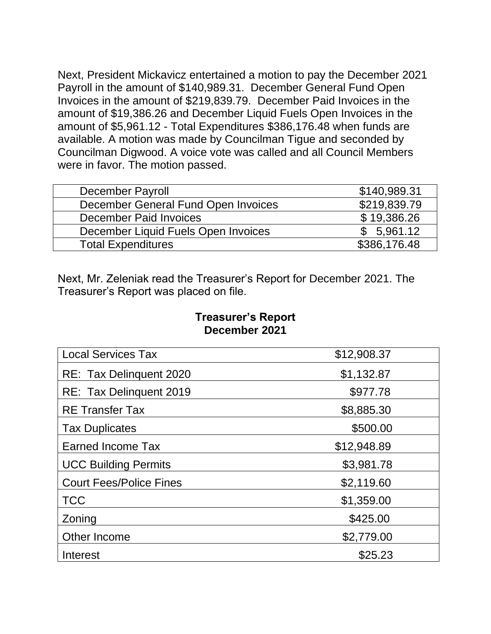Next, President Mickavicz entertained a motion to pay the December 2021 Payroll in the amount of \$140,989.31. December General Fund Open Invoices in the amount of \$219,839.79. December Paid Invoices in the amount of \$19,386.26 and December Liquid Fuels Open Invoices in the amount of \$5,961.12 - Total Expenditures \$386,176.48 when funds are available. A motion was made by Councilman Tigue and seconded by Councilman Digwood. A voice vote was called and all Council Members were in favor. The motion passed.

| December Payroll                    | \$140,989.31 |
|-------------------------------------|--------------|
| December General Fund Open Invoices | \$219,839.79 |
| December Paid Invoices              | \$19,386.26  |
| December Liquid Fuels Open Invoices | \$5,961.12   |
| <b>Total Expenditures</b>           | \$386,176.48 |

Next, Mr. Zeleniak read the Treasurer's Report for December 2021. The Treasurer's Report was placed on file.

## **Treasurer's Report December 2021**

| <b>Local Services Tax</b>      | \$12,908.37 |
|--------------------------------|-------------|
| RE: Tax Delinguent 2020        | \$1,132.87  |
| RE: Tax Delinquent 2019        | \$977.78    |
| <b>RE</b> Transfer Tax         | \$8,885.30  |
| <b>Tax Duplicates</b>          | \$500.00    |
| <b>Earned Income Tax</b>       | \$12,948.89 |
| <b>UCC Building Permits</b>    | \$3,981.78  |
| <b>Court Fees/Police Fines</b> | \$2,119.60  |
| <b>TCC</b>                     | \$1,359.00  |
| Zoning                         | \$425.00    |
| Other Income                   | \$2,779.00  |
| Interest                       | \$25.23     |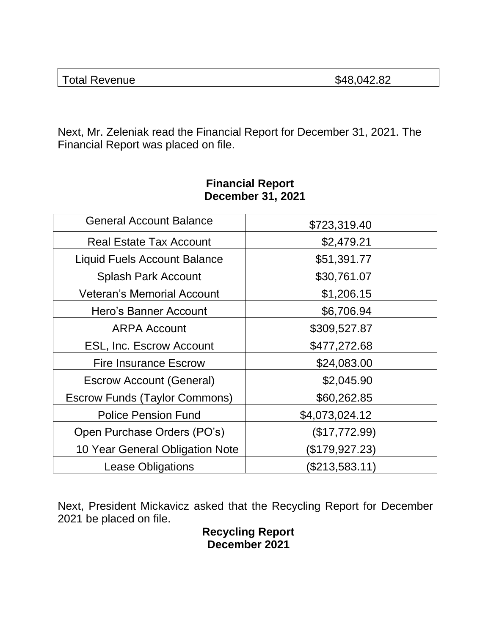| \$48,042.82<br><b>Total Revenue</b> |  |
|-------------------------------------|--|
|-------------------------------------|--|

Next, Mr. Zeleniak read the Financial Report for December 31, 2021. The Financial Report was placed on file.

| <b>General Account Balance</b>       | \$723,319.40   |
|--------------------------------------|----------------|
| <b>Real Estate Tax Account</b>       | \$2,479.21     |
| <b>Liquid Fuels Account Balance</b>  | \$51,391.77    |
| <b>Splash Park Account</b>           | \$30,761.07    |
| <b>Veteran's Memorial Account</b>    | \$1,206.15     |
| Hero's Banner Account                | \$6,706.94     |
| <b>ARPA Account</b>                  | \$309,527.87   |
| <b>ESL, Inc. Escrow Account</b>      | \$477,272.68   |
| <b>Fire Insurance Escrow</b>         | \$24,083.00    |
| <b>Escrow Account (General)</b>      | \$2,045.90     |
| <b>Escrow Funds (Taylor Commons)</b> | \$60,262.85    |
| <b>Police Pension Fund</b>           | \$4,073,024.12 |
| Open Purchase Orders (PO's)          | (\$17,772.99)  |
| 10 Year General Obligation Note      | (\$179,927.23) |
| <b>Lease Obligations</b>             | (\$213,583.11) |

## **Financial Report December 31, 2021**

Next, President Mickavicz asked that the Recycling Report for December 2021 be placed on file.

**Recycling Report December 2021**